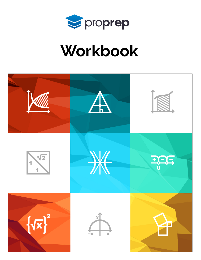

# Workbook

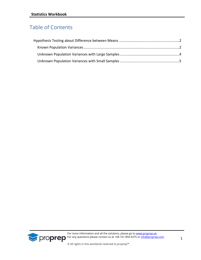# Table of Contents



For more information and all the solutions, please go to **[www.proprep.uk.](http://www.proprep.uk/) Solution any questions please contact us at +44-161-850-4375 or [info@proprep.com.](mailto:info@proprep.com)**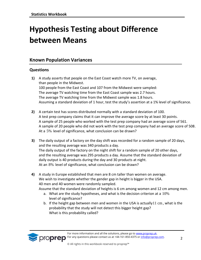# <span id="page-2-0"></span>**Hypothesis Testing about Difference between Means**

# <span id="page-2-1"></span>**Known Population Variances**

## **Questions**

*Eproprep* 

- **1)** A study asserts that people on the East Coast watch more TV, on average, than people in the Midwest. 100 people from the East Coast and 107 from the Midwest were sampled: The average TV watching time from the East Coast sample was 2.7 hours. The average TV watching time from the Midwest sample was 1.8 hours. Assuming a standard deviation of 1 hour, test the study's assertion at a 1% level of significance.
- **2)** A certain test has scores distributed normally with a standard deviation of 100. A test prep company claims that it can improve the average score by at least 30 points. A sample of 25 people who worked with the test prep company had an average score of 561. A sample of 20 people who did not work with the test prep company had an average score of 508. At a 5% level of significance, what conclusion can be drawn?
- **3)** The daily output of a factory on the day shift was recorded for a random sample of 20 days, and the resulting average was 340 products a day. The daily output of the factory on the night shift for a random sample of 20 other days, and the resulting average was 295 products a day. Assume that the standard deviation of daily output is 40 products during the day and 30 products at night. At an 8% level of significance, what conclusion can be drawn?
- **4)** A study in Europe established that men are 8 cm taller than women on average. We wish to investigate whether the gender gap in height is bigger in the USA. 40 men and 40 women were randomly sampled. Assume that the standard deviation of heights is 6 cm among women and 12 cm among men.
	- a. What are the study hypotheses, and what is the decision criterion at a  $10\%$
	- level of significance? b. If the height gap between men and women in the USA is actually 11 cm , what is the probability that the study will not detect this bigger height gap? What is this probability called?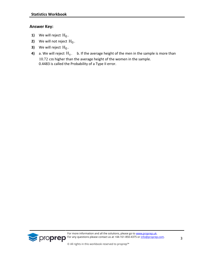## **Answer Key:**

- **1)** We will reject  $H_0$ .
- **2)** We will not reject  $H_0$  .
- **3)** We will reject  $H_0$ .
- **4)** a. We will reject  $\mathrm{H}_0$  .  $\;$  b. If the average height of the men in the sample is more than 10.72 cm higher than the average height of the women in the sample. 0.4483 is called the Probability of a Type II error.

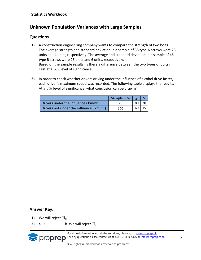# <span id="page-4-0"></span>**Unknown Population Variances with Large Samples**

#### **Questions**

- **1)** A construction engineering company wants to compare the strength of two bolts. The average strength and standard deviation in a sample of 38 type A screws were 28 units and 4 units, respectively. The average and standard deviation in a sample of 45 type B screws were 25 units and 6 units, respectively. Based on the sample results, is there a difference between the two types of bolts? Test at a 5% level of significance.
- **2)** In order to check whether drivers driving under the influence of alcohol drive faster, each driver's maximum speed was recorded. The following table displays the results. At a 5% level of significance, what conclusion can be drawn?

|                                         | Sample Size $ \bar{x} $ S |      |      |
|-----------------------------------------|---------------------------|------|------|
| Drivers under the influence (km/hr)     | 70                        | 80 + |      |
| Drivers not under the influence (km/hr) | 100                       | 60 I | - 15 |

#### **Answer Key:**

- **1)** We will reject  $H_0$ .
- **2)** a. 0 b. We will reject  $H_0$ .



For more information and all the solutions, please go to [www.proprep.uk.](http://www.proprep.uk/) For any questions please contact us at +44-161-850-4375 or [info@proprep.com.](mailto:info@proprep.com)